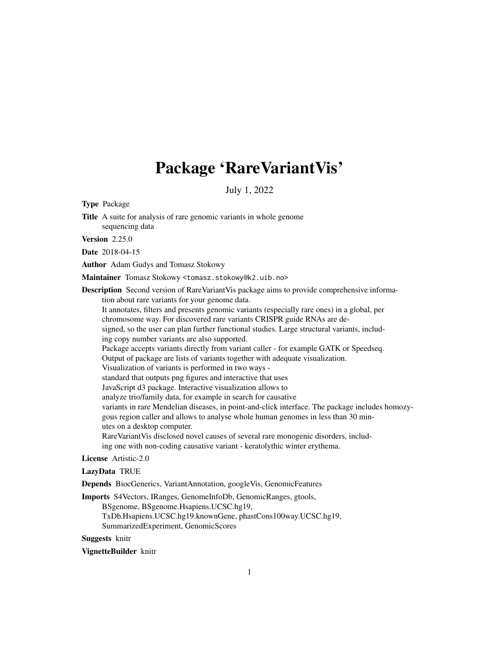# Package 'RareVariantVis'

July 1, 2022

Type Package

Title A suite for analysis of rare genomic variants in whole genome sequencing data

Version 2.25.0

Date 2018-04-15

Author Adam Gudys and Tomasz Stokowy

Maintainer Tomasz Stokowy <tomasz.stokowy@k2.uib.no>

Description Second version of RareVariantVis package aims to provide comprehensive information about rare variants for your genome data. It annotates, filters and presents genomic variants (especially rare ones) in a global, per chromosome way. For discovered rare variants CRISPR guide RNAs are designed, so the user can plan further functional studies. Large structural variants, including copy number variants are also supported. Package accepts variants directly from variant caller - for example GATK or Speedseq. Output of package are lists of variants together with adequate visualization. Visualization of variants is performed in two ways standard that outputs png figures and interactive that uses JavaScript d3 package. Interactive visualization allows to analyze trio/family data, for example in search for causative variants in rare Mendelian diseases, in point-and-click interface. The package includes homozygous region caller and allows to analyse whole human genomes in less than 30 minutes on a desktop computer. RareVariantVis disclosed novel causes of several rare monogenic disorders, including one with non-coding causative variant - keratolythic winter erythema.

#### License Artistic-2.0

#### LazyData TRUE

Depends BiocGenerics, VariantAnnotation, googleVis, GenomicFeatures

Imports S4Vectors, IRanges, GenomeInfoDb, GenomicRanges, gtools, BSgenome, BSgenome.Hsapiens.UCSC.hg19, TxDb.Hsapiens.UCSC.hg19.knownGene, phastCons100way.UCSC.hg19, SummarizedExperiment, GenomicScores

Suggests knitr

VignetteBuilder knitr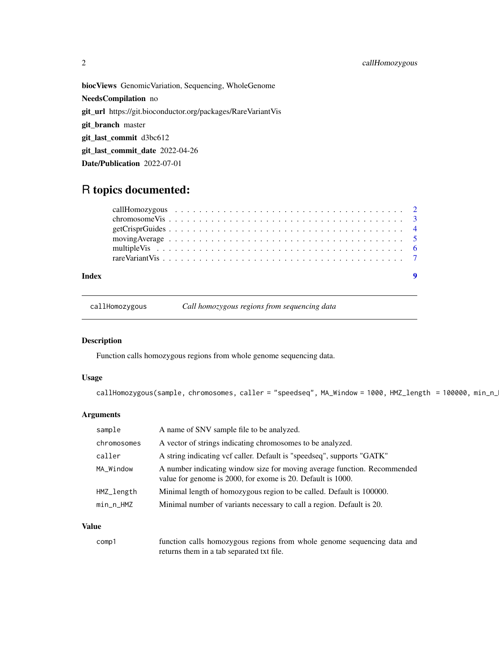<span id="page-1-0"></span>biocViews GenomicVariation, Sequencing, WholeGenome NeedsCompilation no git\_url https://git.bioconductor.org/packages/RareVariantVis git\_branch master git\_last\_commit d3bc612 git\_last\_commit\_date 2022-04-26 Date/Publication 2022-07-01

## R topics documented:

| Index |                                                                                                      | $\overline{\mathbf{9}}$ |
|-------|------------------------------------------------------------------------------------------------------|-------------------------|
|       |                                                                                                      |                         |
|       |                                                                                                      |                         |
|       | moving Average $\ldots \ldots \ldots \ldots \ldots \ldots \ldots \ldots \ldots \ldots \ldots \ldots$ |                         |
|       |                                                                                                      |                         |
|       |                                                                                                      |                         |
|       |                                                                                                      |                         |

callHomozygous *Call homozygous regions from sequencing data*

#### Description

Function calls homozygous regions from whole genome sequencing data.

#### Usage

callHomozygous(sample, chromosomes, caller = "speedseq", MA\_Window = 1000, HMZ\_length = 100000, min\_n\_

#### Arguments

| sample      | A name of SNV sample file to be analyzed.                                                                                               |
|-------------|-----------------------------------------------------------------------------------------------------------------------------------------|
| chromosomes | A vector of strings indicating chromosomes to be analyzed.                                                                              |
| caller      | A string indicating vcf caller. Default is "speedseq", supports "GATK"                                                                  |
| MA_Window   | A number indicating window size for moving average function. Recommended<br>value for genome is 2000, for exome is 20. Default is 1000. |
| HMZ_length  | Minimal length of homozygous region to be called. Default is 100000.                                                                    |
| min_n_HMZ   | Minimal number of variants necessary to call a region. Default is 20.                                                                   |
|             |                                                                                                                                         |

#### Value

| comp1 | function calls homozygous regions from whole genome sequencing data and |
|-------|-------------------------------------------------------------------------|
|       | returns them in a tab separated txt file.                               |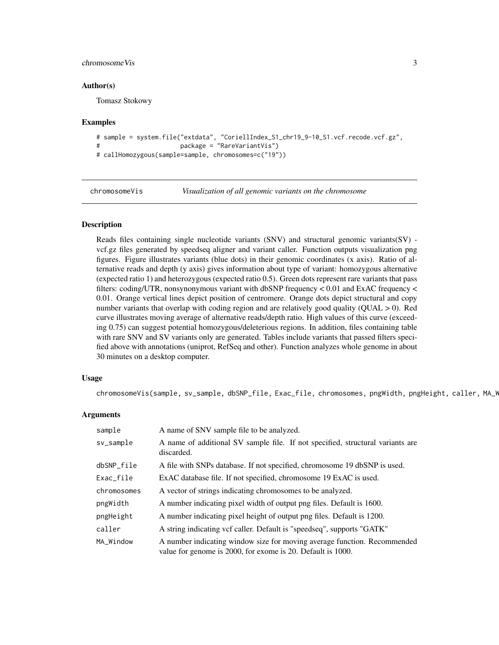#### <span id="page-2-0"></span>chromosomeVis 3

#### Author(s)

Tomasz Stokowy

#### Examples

```
# sample = system.file("extdata", "CoriellIndex_S1_chr19_9-10_S1.vcf.recode.vcf.gz",
# package = "RareVariantVis")
# callHomozygous(sample=sample, chromosomes=c("19"))
```
chromosomeVis *Visualization of all genomic variants on the chromosome*

#### **Description**

Reads files containing single nucleotide variants (SNV) and structural genomic variants(SV) vcf.gz files generated by speedseq aligner and variant caller. Function outputs visualization png figures. Figure illustrates variants (blue dots) in their genomic coordinates (x axis). Ratio of alternative reads and depth (y axis) gives information about type of variant: homozygous alternative (expected ratio 1) and heterozygous (expected ratio 0.5). Green dots represent rare variants that pass filters: coding/UTR, nonsynonymous variant with dbSNP frequency < 0.01 and ExAC frequency < 0.01. Orange vertical lines depict position of centromere. Orange dots depict structural and copy number variants that overlap with coding region and are relatively good quality (QUAL > 0). Red curve illustrates moving average of alternative reads/depth ratio. High values of this curve (exceeding 0.75) can suggest potential homozygous/deleterious regions. In addition, files containing table with rare SNV and SV variants only are generated. Tables include variants that passed filters specified above with annotations (uniprot, RefSeq and other). Function analyzes whole genome in about 30 minutes on a desktop computer.

#### Usage

chromosomeVis(sample, sv\_sample, dbSNP\_file, Exac\_file, chromosomes, pngWidth, pngHeight, caller, MA\_W

#### Arguments

| sample      | A name of SNV sample file to be analyzed.                                                                                               |
|-------------|-----------------------------------------------------------------------------------------------------------------------------------------|
| sv_sample   | A name of additional SV sample file. If not specified, structural variants are<br>discarded.                                            |
| dbSNP_file  | A file with SNPs database. If not specified, chromosome 19 dbSNP is used.                                                               |
| Exac_file   | ExAC database file. If not specified, chromosome 19 ExAC is used.                                                                       |
| chromosomes | A vector of strings indicating chromosomes to be analyzed.                                                                              |
| pngWidth    | A number indicating pixel width of output png files. Default is 1600.                                                                   |
| pngHeight   | A number indicating pixel height of output png files. Default is 1200.                                                                  |
| caller      | A string indicating vcf caller. Default is "speedseq", supports "GATK"                                                                  |
| MA_Window   | A number indicating window size for moving average function. Recommended<br>value for genome is 2000, for exome is 20. Default is 1000. |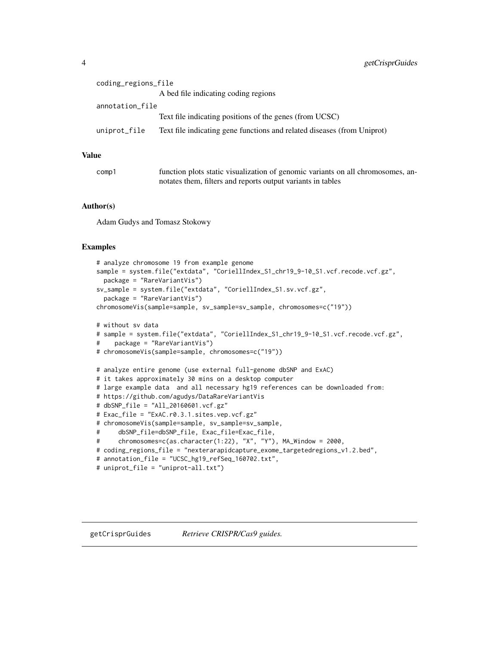<span id="page-3-0"></span>

| coding_regions_file |                                                                         |
|---------------------|-------------------------------------------------------------------------|
|                     | A bed file indicating coding regions                                    |
| annotation_file     |                                                                         |
|                     | Text file indicating positions of the genes (from UCSC)                 |
| uniprot_file        | Text file indicating gene functions and related diseases (from Uniprot) |
|                     |                                                                         |

#### Value

| comp1 | function plots static visualization of genomic variants on all chromosomes, an- |
|-------|---------------------------------------------------------------------------------|
|       | notates them, filters and reports output variants in tables                     |

#### Author(s)

Adam Gudys and Tomasz Stokowy

#### Examples

```
# analyze chromosome 19 from example genome
sample = system.file("extdata", "CoriellIndex_S1_chr19_9-10_S1.vcf.recode.vcf.gz",
 package = "RareVariantVis")
sv_sample = system.file("extdata", "CoriellIndex_S1.sv.vcf.gz",
 package = "RareVariantVis")
chromosomeVis(sample=sample, sv_sample=sv_sample, chromosomes=c("19"))
# without sv data
# sample = system.file("extdata", "CoriellIndex_S1_chr19_9-10_S1.vcf.recode.vcf.gz",
# package = "RareVariantVis")
# chromosomeVis(sample=sample, chromosomes=c("19"))
# analyze entire genome (use external full-genome dbSNP and ExAC)
# it takes approximately 30 mins on a desktop computer
# large example data and all necessary hg19 references can be downloaded from:
# https://github.com/agudys/DataRareVariantVis
# dbSNP_file = "All_20160601.vcf.gz"
# Exac_file = "ExAC.r0.3.1.sites.vep.vcf.gz"
# chromosomeVis(sample=sample, sv_sample=sv_sample,
# dbSNP_file=dbSNP_file, Exac_file=Exac_file,
# chromosomes=c(as.character(1:22), "X", "Y"), MA_Window = 2000,
# coding_regions_file = "nexterarapidcapture_exome_targetedregions_v1.2.bed",
# annotation_file = "UCSC_hg19_refSeq_160702.txt",
# uniprot_file = "uniprot-all.txt")
```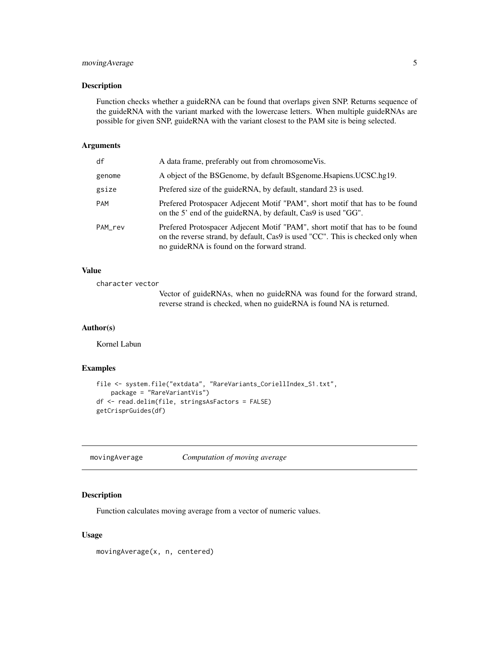#### <span id="page-4-0"></span>movingAverage 5

#### Description

Function checks whether a guideRNA can be found that overlaps given SNP. Returns sequence of the guideRNA with the variant marked with the lowercase letters. When multiple guideRNAs are possible for given SNP, guideRNA with the variant closest to the PAM site is being selected.

#### Arguments

| df      | A data frame, preferably out from chromosome Vis.                                                                                                                                                             |
|---------|---------------------------------------------------------------------------------------------------------------------------------------------------------------------------------------------------------------|
| genome  | A object of the BSGenome, by default BSgenome. Happiens. UCSC.hg19.                                                                                                                                           |
| gsize   | Prefered size of the guideRNA, by default, standard 23 is used.                                                                                                                                               |
| PAM     | Prefered Protospacer Adjecent Motif "PAM", short motif that has to be found<br>on the 5' end of the guideRNA, by default, Cas9 is used "GG".                                                                  |
| PAM_rev | Prefered Protospacer Adjecent Motif "PAM", short motif that has to be found<br>on the reverse strand, by default, Cas9 is used "CC". This is checked only when<br>no guideRNA is found on the forward strand. |

#### Value

character vector

Vector of guideRNAs, when no guideRNA was found for the forward strand, reverse strand is checked, when no guideRNA is found NA is returned.

#### Author(s)

Kornel Labun

#### Examples

```
file <- system.file("extdata", "RareVariants_CoriellIndex_S1.txt",
   package = "RareVariantVis")
df <- read.delim(file, stringsAsFactors = FALSE)
getCrisprGuides(df)
```
movingAverage *Computation of moving average*

#### Description

Function calculates moving average from a vector of numeric values.

#### Usage

movingAverage(x, n, centered)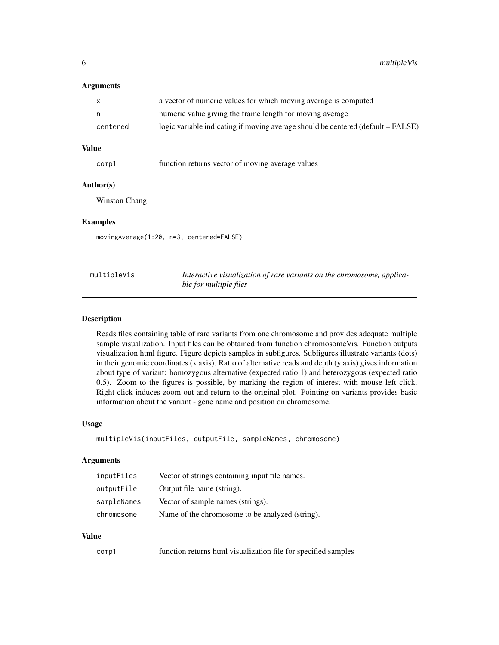#### <span id="page-5-0"></span>Arguments

| $\mathsf{X}$ | a vector of numeric values for which moving average is computed                  |
|--------------|----------------------------------------------------------------------------------|
| n,           | numeric value giving the frame length for moving average                         |
| centered     | logic variable indicating if moving average should be centered (default = FALSE) |

#### Value

comp1 function returns vector of moving average values

#### Author(s)

Winston Chang

#### Examples

movingAverage(1:20, n=3, centered=FALSE)

| multipleVis | Interactive visualization of rare variants on the chromosome, applica- |
|-------------|------------------------------------------------------------------------|
|             | ble for multiple files                                                 |

#### Description

Reads files containing table of rare variants from one chromosome and provides adequate multiple sample visualization. Input files can be obtained from function chromosomeVis. Function outputs visualization html figure. Figure depicts samples in subfigures. Subfigures illustrate variants (dots) in their genomic coordinates (x axis). Ratio of alternative reads and depth (y axis) gives information about type of variant: homozygous alternative (expected ratio 1) and heterozygous (expected ratio 0.5). Zoom to the figures is possible, by marking the region of interest with mouse left click. Right click induces zoom out and return to the original plot. Pointing on variants provides basic information about the variant - gene name and position on chromosome.

#### Usage

```
multipleVis(inputFiles, outputFile, sampleNames, chromosome)
```
#### Arguments

| inputFiles  | Vector of strings containing input file names.  |
|-------------|-------------------------------------------------|
| outputFile  | Output file name (string).                      |
| sampleNames | Vector of sample names (strings).               |
| chromosome  | Name of the chromosome to be analyzed (string). |

#### Value

| function returns html visualization file for specified samples<br>comp1 |  |
|-------------------------------------------------------------------------|--|
|-------------------------------------------------------------------------|--|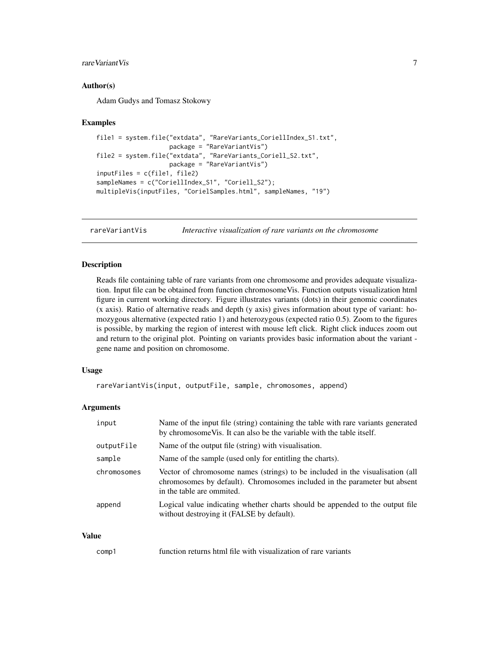#### <span id="page-6-0"></span>rare Variant Vis<sup>7</sup>

#### Author(s)

Adam Gudys and Tomasz Stokowy

#### Examples

```
file1 = system.file("extdata", "RareVariants_CoriellIndex_S1.txt",
                   package = "RareVariantVis")
file2 = system.file("extdata", "RareVariants_Coriell_S2.txt",
                   package = "RareVariantVis")
inputFiles = c(file1, file2)
sampleNames = c("CoriellIndex_S1", "Coriell_S2");
multipleVis(inputFiles, "CorielSamples.html", sampleNames, "19")
```
rareVariantVis *Interactive visualization of rare variants on the chromosome*

#### Description

Reads file containing table of rare variants from one chromosome and provides adequate visualization. Input file can be obtained from function chromosomeVis. Function outputs visualization html figure in current working directory. Figure illustrates variants (dots) in their genomic coordinates (x axis). Ratio of alternative reads and depth (y axis) gives information about type of variant: homozygous alternative (expected ratio 1) and heterozygous (expected ratio 0.5). Zoom to the figures is possible, by marking the region of interest with mouse left click. Right click induces zoom out and return to the original plot. Pointing on variants provides basic information about the variant gene name and position on chromosome.

#### Usage

```
rareVariantVis(input, outputFile, sample, chromosomes, append)
```
#### Arguments

| input       | Name of the input file (string) containing the table with rare variants generated<br>by chromosome Vis. It can also be the variable with the table itself.                              |
|-------------|-----------------------------------------------------------------------------------------------------------------------------------------------------------------------------------------|
| outputFile  | Name of the output file (string) with visualisation.                                                                                                                                    |
| sample      | Name of the sample (used only for entitling the charts).                                                                                                                                |
| chromosomes | Vector of chromosome names (strings) to be included in the visualisation (all<br>chromosomes by default). Chromosomes included in the parameter but absent<br>in the table are ommited. |
| append      | Logical value indicating whether charts should be appended to the output file<br>without destroying it (FALSE by default).                                                              |

#### Value

| comp1 | function returns html file with visualization of rare variants |  |  |  |
|-------|----------------------------------------------------------------|--|--|--|
|-------|----------------------------------------------------------------|--|--|--|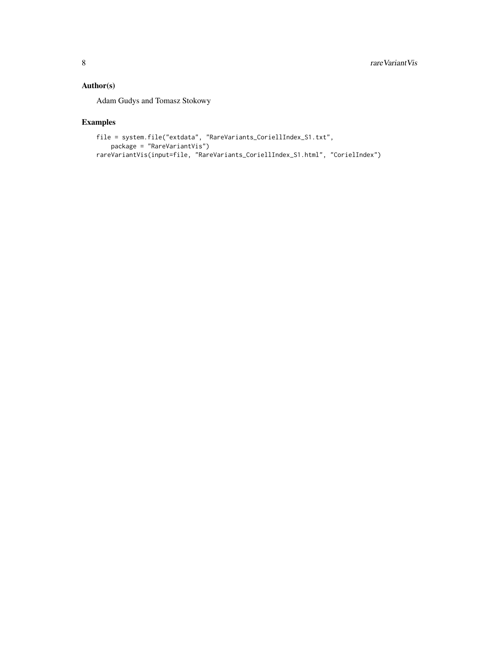### Author(s)

Adam Gudys and Tomasz Stokowy

#### Examples

```
file = system.file("extdata", "RareVariants_CoriellIndex_S1.txt",
    package = "RareVariantVis")
rareVariantVis(input=file, "RareVariants_CoriellIndex_S1.html", "CorielIndex")
```